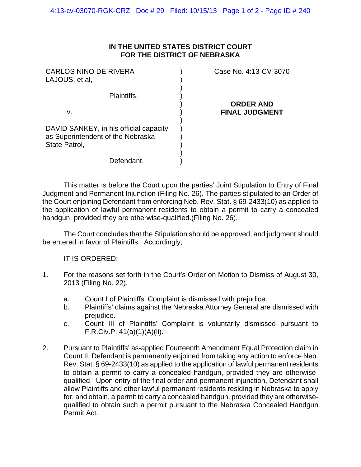## **IN THE UNITED STATES DISTRICT COURT FOR THE DISTRICT OF NEBRASKA**

| <b>CARLOS NINO DE RIVERA</b><br>LAJOUS, et al,                              | Case No. 4:13-CV-3070 |
|-----------------------------------------------------------------------------|-----------------------|
| Plaintiffs,                                                                 | <b>ORDER AND</b>      |
| v.                                                                          | <b>FINAL JUDGMENT</b> |
| DAVID SANKEY, in his official capacity<br>as Superintendent of the Nebraska |                       |
| State Patrol,                                                               |                       |
| Defendant.                                                                  |                       |

 This matter is before the Court upon the parties' Joint Stipulation to Entry of Final Judgment and Permanent Injunction (Filing No. 26). The parties stipulated to an Order of the Court enjoining Defendant from enforcing Neb. Rev. Stat. § 69-2433(10) as applied to the application of lawful permanent residents to obtain a permit to carry a concealed handgun, provided they are otherwise-qualified.(Filing No. 26).

The Court concludes that the Stipulation should be approved, and judgment should be entered in favor of Plaintiffs. Accordingly,

IT IS ORDERED:

- 1. For the reasons set forth in the Court's Order on Motion to Dismiss of August 30, 2013 (Filing No. 22),
	- a. Count I of Plaintiffs' Complaint is dismissed with prejudice.
	- b. Plaintiffs' claims against the Nebraska Attorney General are dismissed with prejudice.
	- c. Count III of Plaintiffs' Complaint is voluntarily dismissed pursuant to F.R.Civ.P. 41(a)(1)(A)(ii).
- 2. Pursuant to Plaintiffs' as-applied Fourteenth Amendment Equal Protection claim in Count II, Defendant is permanently enjoined from taking any action to enforce Neb. Rev. Stat. § 69-2433(10) as applied to the application of lawful permanent residents to obtain a permit to carry a concealed handgun, provided they are otherwisequalified. Upon entry of the final order and permanent injunction, Defendant shall allow Plaintiffs and other lawful permanent residents residing in Nebraska to apply for, and obtain, a permit to carry a concealed handgun, provided they are otherwisequalified to obtain such a permit pursuant to the Nebraska Concealed Handgun Permit Act.